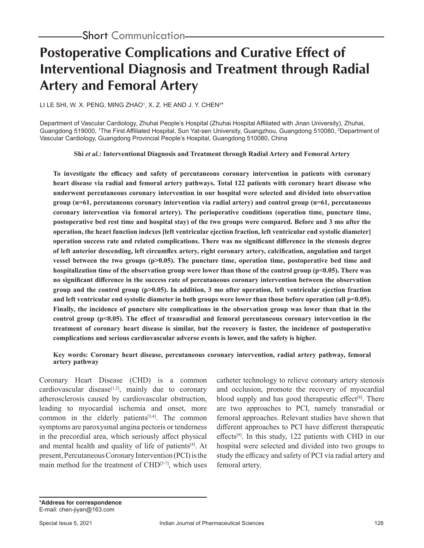# **Postoperative Complications and Curative Effect of Interventional Diagnosis and Treatment through Radial Artery and Femoral Artery**

LI LE SHI, W. X. PENG, MING ZHAO1, X. Z. HE AND J. Y. CHEN2\*

Department of Vascular Cardiology, Zhuhai People's Hospital (Zhuhai Hospital Affiliated with Jinan University), Zhuhai, Guangdong 519000, 'The First Affiliated Hospital, Sun Yat-sen University, Guangzhou, Guangdong 510080, <sup>2</sup>Department of Vascular Cardiology, Guangdong Provincial People's Hospital, Guangdong 510080, China

**Shi** *et al.***: Interventional Diagnosis and Treatment through Radial Artery and Femoral Artery**

**To investigate the efficacy and safety of percutaneous coronary intervention in patients with coronary heart disease via radial and femoral artery pathways. Total 122 patients with coronary heart disease who underwent percutaneous coronary intervention in our hospital were selected and divided into observation group (n=61, percutaneous coronary intervention via radial artery) and control group (n=61, percutaneous coronary intervention via femoral artery). The perioperative conditions (operation time, puncture time, postoperative bed rest time and hospital stay) of the two groups were compared. Before and 3 mo after the operation, the heart function indexes [left ventricular ejection fraction, left ventricular end systolic diameter] operation success rate and related complications. There was no significant difference in the stenosis degree of left anterior descending, left circumflex artery, right coronary artery, calcification, angulation and target vessel between the two groups (p>0.05). The puncture time, operation time, postoperative bed time and**  hospitalization time of the observation group were lower than those of the control group (p<0.05). There was **no significant difference in the success rate of percutaneous coronary intervention between the observation group and the control group (p>0.05). In addition, 3 mo after operation, left ventricular ejection fraction and left ventricular end systolic diameter in both groups were lower than those before operation (all p<0.05). Finally, the incidence of puncture site complications in the observation group was lower than that in the control group (p<0.05). The effect of transradial and femoral percutaneous coronary intervention in the treatment of coronary heart disease is similar, but the recovery is faster, the incidence of postoperative complications and serious cardiovascular adverse events is lower, and the safety is higher.**

**Key words: Coronary heart disease, percutaneous coronary intervention, radial artery pathway, femoral artery pathway**

Coronary Heart Disease (CHD) is a common cardiovascular disease<sup>[1,2]</sup>, mainly due to coronary atherosclerosis caused by cardiovascular obstruction, leading to myocardial ischemia and onset, more common in the elderly patients $[3,4]$ . The common symptoms are paroxysmal angina pectoris or tenderness in the precordial area, which seriously affect physical and mental health and quality of life of patients<sup>[4]</sup>. At present, Percutaneous Coronary Intervention (PCI) is the main method for the treatment of  $CHD^{[5-7]}$ , which uses catheter technology to relieve coronary artery stenosis and occlusion, promote the recovery of myocardial blood supply and has good therapeutic effect<sup>[8]</sup>. There are two approaches to PCI, namely transradial or femoral approaches. Relevant studies have shown that different approaches to PCI have different therapeutic effects<sup>[9]</sup>. In this study, 122 patients with CHD in our hospital were selected and divided into two groups to study the efficacy and safety of PCI via radial artery and femoral artery.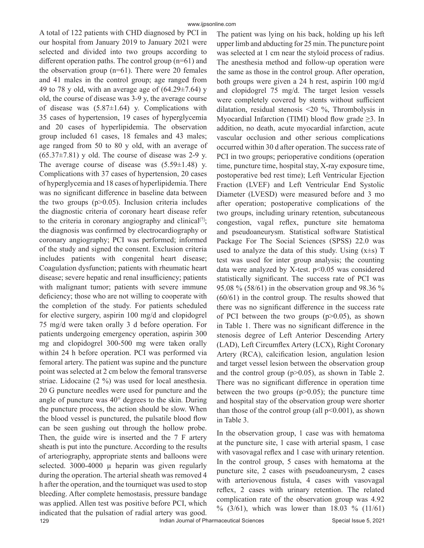A total of 122 patients with CHD diagnosed by PCI in our hospital from January 2019 to January 2021 were selected and divided into two groups according to different operation paths. The control group (n=61) and the observation group  $(n=61)$ . There were 20 females and 41 males in the control group; age ranged from 49 to 78 y old, with an average age of  $(64.29 \pm 7.64)$  y old, the course of disease was 3-9 y, the average course of disease was  $(5.87\pm1.64)$  y. Complications with 35 cases of hypertension, 19 cases of hyperglycemia and 20 cases of hyperlipidemia. The observation group included 61 cases, 18 females and 43 males; age ranged from 50 to 80 y old, with an average of  $(65.37\pm7.81)$  y old. The course of disease was 2-9 y. The average course of disease was  $(5.59 \pm 1.48)$  y. Complications with 37 cases of hypertension, 20 cases of hyperglycemia and 18 cases of hyperlipidemia. There was no significant difference in baseline data between the two groups  $(p>0.05)$ . Inclusion criteria includes the diagnostic criteria of coronary heart disease refer to the criteria in coronary angiography and clinical<sup>[7]</sup>; the diagnosis was confirmed by electrocardiography or coronary angiography; PCI was performed; informed of the study and signed the consent. Exclusion criteria includes patients with congenital heart disease; Coagulation dysfunction; patients with rheumatic heart disease; severe hepatic and renal insufficiency; patients with malignant tumor; patients with severe immune deficiency; those who are not willing to cooperate with the completion of the study. For patients scheduled for elective surgery, aspirin 100 mg/d and clopidogrel 75 mg/d were taken orally 3 d before operation. For patients undergoing emergency operation, aspirin 300 mg and clopidogrel 300-500 mg were taken orally within 24 h before operation. PCI was performed via femoral artery. The patient was supine and the puncture point was selected at 2 cm below the femoral transverse striae. Lidocaine (2 %) was used for local anesthesia. 20 G puncture needles were used for puncture and the angle of puncture was 40° degrees to the skin. During the puncture process, the action should be slow. When the blood vessel is punctured, the pulsatile blood flow can be seen gushing out through the hollow probe. Then, the guide wire is inserted and the 7 F artery sheath is put into the puncture. According to the results of arteriography, appropriate stents and balloons were selected.  $3000-4000$   $\mu$  heparin was given regularly during the operation. The arterial sheath was removed 4 h after the operation, and the tourniquet was used to stop bleeding. After complete hemostasis, pressure bandage was applied. Allen test was positive before PCI, which indicated that the pulsation of radial artery was good.

The patient was lying on his back, holding up his left upper limb and abducting for 25 min. The puncture point was selected at 1 cm near the styloid process of radius. The anesthesia method and follow-up operation were the same as those in the control group. After operation, both groups were given a 24 h rest, aspirin 100 mg/d and clopidogrel 75 mg/d. The target lesion vessels were completely covered by stents without sufficient dilatation, residual stenosis <20 %, Thrombolysis in Myocardial Infarction (TIMI) blood flow grade  $\geq$ 3. In addition, no death, acute myocardial infarction, acute vascular occlusion and other serious complications occurred within 30 d after operation. The success rate of PCI in two groups; perioperative conditions (operation time, puncture time, hospital stay, X-ray exposure time, postoperative bed rest time); Left Ventricular Ejection Fraction (LVEF) and Left Ventricular End Systolic Diameter (LVESD) were measured before and 3 mo after operation; postoperative complications of the two groups, including urinary retention, subcutaneous congestion, vagal reflex, puncture site hematoma and pseudoaneurysm. Statistical software Statistical Package For The Social Sciences (SPSS) 22.0 was used to analyze the data of this study. Using  $(x\pm s)$  T test was used for inter group analysis; the counting data were analyzed by X-test.  $p<0.05$  was considered statistically significant. The success rate of PCI was 95.08 % (58/61) in the observation group and 98.36 % (60/61) in the control group. The results showed that there was no significant difference in the success rate of PCI between the two groups  $(p>0.05)$ , as shown in Table 1. There was no significant difference in the stenosis degree of Left Anterior Descending Artery (LAD), Left Circumflex Artery (LCX), Right Coronary Artery (RCA), calcification lesion, angulation lesion and target vessel lesion between the observation group and the control group (p>0.05), as shown in Table 2. There was no significant difference in operation time between the two groups  $(p>0.05)$ ; the puncture time and hospital stay of the observation group were shorter than those of the control group (all  $p<0.001$ ), as shown in Table 3.

In the observation group, 1 case was with hematoma at the puncture site, 1 case with arterial spasm, 1 case with vasovagal reflex and 1 case with urinary retention. In the control group, 5 cases with hematoma at the puncture site, 2 cases with pseudoaneurysm, 2 cases with arteriovenous fistula, 4 cases with vasovagal reflex, 2 cases with urinary retention. The related complication rate of the observation group was 4.92 % (3/61), which was lower than 18.03 % (11/61)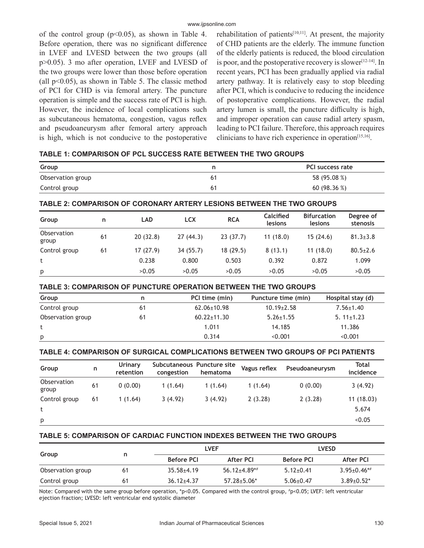of the control group  $(p<0.05)$ , as shown in Table 4. Before operation, there was no significant difference in LVEF and LVESD between the two groups (all p>0.05). 3 mo after operation, LVEF and LVESD of the two groups were lower than those before operation (all  $p<0.05$ ), as shown in Table 5. The classic method of PCI for CHD is via femoral artery. The puncture operation is simple and the success rate of PCI is high. However, the incidence of local complications such as subcutaneous hematoma, congestion, vagus reflex and pseudoaneurysm after femoral artery approach is high, which is not conducive to the postoperative

rehabilitation of patients<sup>[10,11]</sup>. At present, the majority of CHD patients are the elderly. The immune function of the elderly patients is reduced, the blood circulation is poor, and the postoperative recovery is slower<sup>[12-14]</sup>. In recent years, PCI has been gradually applied via radial artery pathway. It is relatively easy to stop bleeding after PCI, which is conducive to reducing the incidence of postoperative complications. However, the radial artery lumen is small, the puncture difficulty is high, and improper operation can cause radial artery spasm, leading to PCI failure. Therefore, this approach requires clinicians to have rich experience in operation[15,16].

# **TABLE 1: COMPARISON OF PCL SUCCESS RATE BETWEEN THE TWO GROUPS**

| Group             | PCI success rate |
|-------------------|------------------|
| Observation group | 58 (95.08 %)     |
| Control group     | 60 $(98.36\%)$   |

# **TABLE 2: COMPARISON OF CORONARY ARTERY LESIONS BETWEEN THE TWO GROUPS**

| Group                | n  | <b>LAD</b> | <b>LCX</b> | <b>RCA</b> | Calcified<br>lesions | <b>Bifurcation</b><br>lesions | Degree of<br>stenosis |
|----------------------|----|------------|------------|------------|----------------------|-------------------------------|-----------------------|
| Observation<br>group | 61 | 20(32.8)   | 27(44.3)   | 23(37.7)   | 11(18.0)             | 15(24.6)                      | $81.3 \pm 3.8$        |
| Control group        | 61 | 17(27.9)   | 34 (55.7)  | 18(29.5)   | 8(13.1)              | 11(18.0)                      | $80.5 \pm 2.6$        |
|                      |    | 0.238      | 0.800      | 0.503      | 0.392                | 0.872                         | 1.099                 |
| p                    |    | >0.05      | >0.05      | >0.05      | >0.05                | >0.05                         | >0.05                 |

## **TABLE 3: COMPARISON OF PUNCTURE OPERATION BETWEEN THE TWO GROUPS**

| Group             | n  | PCI time (min)    | Puncture time (min) | Hospital stay (d) |
|-------------------|----|-------------------|---------------------|-------------------|
| Control group     | 61 | $62.06 \pm 10.98$ | $10.19 \pm 2.58$    | $7.56 \pm 1.40$   |
| Observation group | 61 | $60.22 \pm 11.30$ | $5.26 \pm 1.55$     | $5.11 \pm 1.23$   |
|                   |    | 1.011             | 14.185              | 11.386            |
| p                 |    | 0.314             | < 0.001             | < 0.001           |

# **TABLE 4: COMPARISON OF SURGICAL COMPLICATIONS BETWEEN TWO GROUPS OF PCI PATIENTS**

| Group                | n  | Urinary<br>retention | congestion | Subcutaneous Puncture site<br>hematoma | Vagus reflex | Pseudoaneurysm | Total<br>incidence |
|----------------------|----|----------------------|------------|----------------------------------------|--------------|----------------|--------------------|
| Observation<br>group | 61 | 0(0.00)              | 1(1.64)    | 1(1.64)                                | 1(1.64)      | 0(0.00)        | 3(4.92)            |
| Control group        | 61 | 1(1.64)              | 3(4.92)    | 3(4.92)                                | 2(3.28)      | 2(3.28)        | 11(18.03)          |
|                      |    |                      |            |                                        |              |                | 5.674              |
| p                    |    |                      |            |                                        |              |                | < 0.05             |

# **TABLE 5: COMPARISON OF CARDIAC FUNCTION INDEXES BETWEEN THE TWO GROUPS**

|                   |    |                   | <b>LVEF</b>       | <b>LVESD</b>      |                    |
|-------------------|----|-------------------|-------------------|-------------------|--------------------|
| Group             | n  | <b>Before PCI</b> | After PCI         | <b>Before PCI</b> | After PCI          |
| Observation group | 61 | $35.58 + 4.19$    | $56.12 + 4.89**$  | $5.12 \pm 0.41$   | $3.95 \pm 0.46$ *# |
| Control group     | 61 | $36.12 \pm 4.37$  | $57.28 \pm 5.06*$ | $5.06 \pm 0.47$   | $3.89 \pm 0.52^*$  |

Note: Compared with the same group before operation, \*p<0.05. Compared with the control group, # p<0.05; LVEF: left ventricular ejection fraction; LVESD: left ventricular end systolic diameter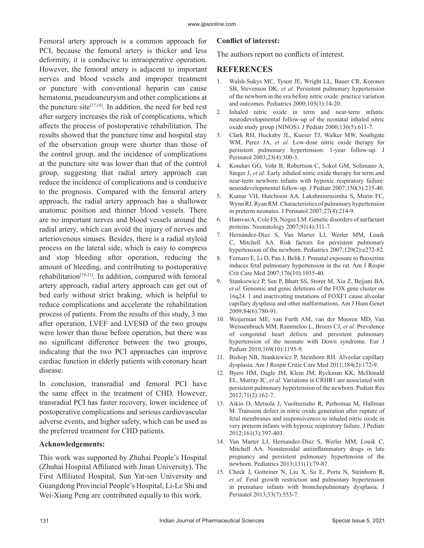Femoral artery approach is a common approach for PCI, because the femoral artery is thicker and less deformity, it is conducive to intraoperative operation. However, the femoral artery is adjacent to important nerves and blood vessels and improper treatment or puncture with conventional heparin can cause hematoma, pseudoaneurysm and other complications at the puncture site<sup>[17,18]</sup>. In addition, the need for bed rest after surgery increases the risk of complications, which affects the process of postoperative rehabilitation. The results showed that the puncture time and hospital stay of the observation group were shorter than those of the control group, and the incidence of complications at the puncture site was lower than that of the control group, suggesting that radial artery approach can reduce the incidence of complications and is conducive to the prognosis. Compared with the femoral artery approach, the radial artery approach has a shallower anatomic position and thinner blood vessels. There are no important nerves and blood vessels around the radial artery, which can avoid the injury of nerves and arteriovenous sinuses. Besides, there is a radial styloid process on the lateral side, which is easy to compress and stop bleeding after operation, reducing the amount of bleeding, and contributing to postoperative rehabilitation[19-21]. In addition, compared with femoral artery approach, radial artery approach can get out of bed early without strict braking, which is helpful to reduce complications and accelerate the rehabilitation process of patients. From the results of this study, 3 mo after operation, LVEF and LVESD of the two groups were lower than those before operation, but there was no significant difference between the two groups, indicating that the two PCI approaches can improve cardiac function in elderly patients with coronary heart disease.

In conclusion, transradial and femoral PCI have the same effect in the treatment of CHD. However, transradial PCI has faster recovery, lower incidence of postoperative complications and serious cardiovascular adverse events, and higher safety, which can be used as the preferred treatment for CHD patients.

#### **Acknowledgements:**

This work was supported by Zhuhai People's Hospital (Zhuhai Hospital Affiliated with Jinan University), The First Affiliated Hospital, Sun Yat-sen University and Guangdong Provincial People's Hospital, Li-Le Shi and Wei-Xiang Peng are contributed equally to this work.

#### **Conflict of interest:**

The authors report no conflicts of interest.

## **REFERENCES**

- 1. Walsh-Sukys MC, Tyson JE, Wright LL, Bauer CR, Korones SB, Stevenson DK, *et al.* Persistent pulmonary hypertension of the newborn in the era before nitric oxide: practice variation and outcomes. Pediatrics 2000;105(1):14-20.
- 2. Inhaled nitric oxide in term and near-term infants: neurodevelopmental follow-up of the neonatal inhaled nitric oxide study group (NINOS). J Pediatr 2000;136(5):611-7.
- 3. Clark RH, Huckaby JL, Kueser TJ, Walker MW, Southgate WM, Perez JA, et al. Low-dose nitric oxide therapy for persistent pulmonary hypertension: 1-year follow-up. J Perinatol 2003;23(4):300-3.
- 4. Konduri GG, Vohr B, Robertson C, Sokol GM, Solimano A, Singer J, *et al.* Early inhaled nitric oxide therapy for term and near-term newborn infants with hypoxic respiratory failure: neurodevelopmental follow-up. J Pediatr 2007;150(3):235-40.
- 5. Kumar VH, Hutchison AA, Lakshminrusimha S, Morin FC, Wynn RJ, Ryan RM. Characteristics of pulmonary hypertension in preterm neonates. J Perinatol 2007;27(4):214-9.
- 6. Hamvas A, Cole FS, Nogee LM. Genetic disorders of surfactant proteins. Neonatology 2007;91(4):311-7.
- 7. Hernández-Díaz S, Van Marter LJ, Werler MM, Louik C, Mitchell AA. Risk factors for persistent pulmonary hypertension of the newborn. Pediatrics 2007;120(2):e272-82.
- 8. Fornaro E, Li D, Pan J, Belik J. Prenatal exposure to fluoxetine induces fetal pulmonary hypertension in the rat. Am J Respir Crit Care Med 2007;176(10):1035-40.
- 9. Stankiewicz P, Sen P, Bhatt SS, Storer M, Xia Z, Bejjani BA, *et al.* Genomic and genic deletions of the FOX gene cluster on 16q24. 1 and inactivating mutations of FOXF1 cause alveolar capillary dysplasia and other malformations. Am J Hum Genet 2009;84(6):780-91.
- 10. Weijerman ME, van Furth AM, van der Mooren MD, Van Weissenbruch MM, Rammeloo L, Broers CJ, *et al.* Prevalence of congenital heart defects and persistent pulmonary hypertension of the neonate with Down syndrome. Eur J Pediatr 2010;169(10):1195-9.
- 11. Bishop NB, Stankiewicz P, Steinhorn RH. Alveolar capillary dysplasia. Am J Respir Critic Care Med 2011;184(2):172-9.
- 12. Byers HM, Dagle JM, Klein JM, Ryckman KK, McDonald EL, Murray JC, *et al.* Variations in CRHR1 are associated with persistent pulmonary hypertension of the newborn. Pediatr Res 2012;71(2):162-7.
- 13. Aikio O, Metsola J, Vuolteenaho R, Perhomaa M, Hallman M. Transient defect in nitric oxide generation after rupture of fetal membranes and responsiveness to inhaled nitric oxide in very preterm infants with hypoxic respiratory failure. J Pediatr 2012;161(3):397-403.
- 14. Van Marter LJ, Hernandez-Diaz S, Werler MM, Louik C, Mitchell AA. Nonsteroidal antiinflammatory drugs in late pregnancy and persistent pulmonary hypertension of the newborn. Pediatrics 2013;131(1):79-87.
- 15. Check J, Gotteiner N, Liu X, Su E, Porta N, Steinhorn R, *et al.* Fetal growth restriction and pulmonary hypertension in premature infants with bronchopulmonary dysplasia. J Perinatol 2013;33(7):553-7.